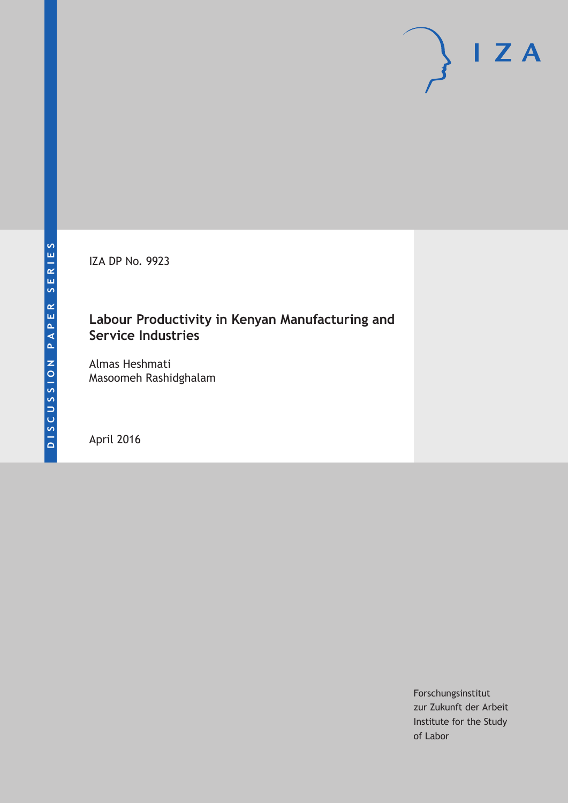IZA DP No. 9923

### **Labour Productivity in Kenyan Manufacturing and Service Industries**

Almas Heshmati Masoomeh Rashidghalam

April 2016

Forschungsinstitut zur Zukunft der Arbeit Institute for the Study of Labor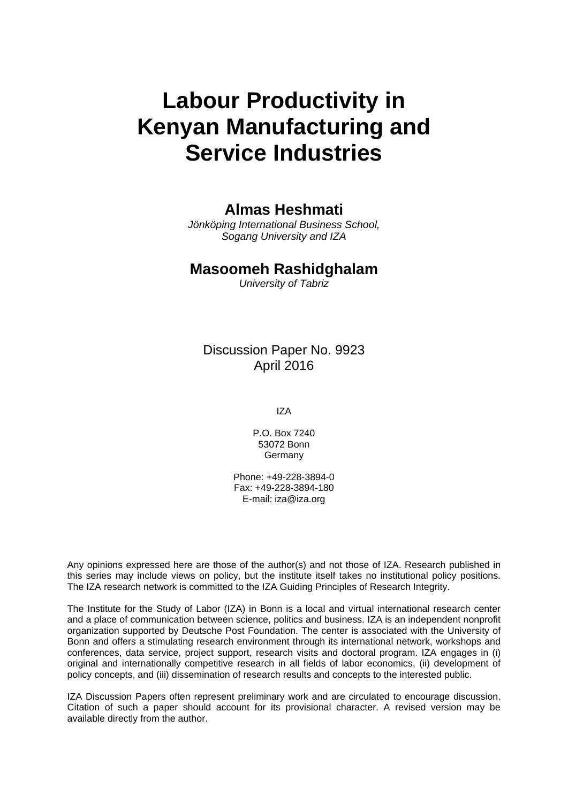# **Labour Productivity in Kenyan Manufacturing and Service Industries**

### **Almas Heshmati**

*Jönköping International Business School, Sogang University and IZA* 

### **Masoomeh Rashidghalam**

*University of Tabriz* 

Discussion Paper No. 9923 April 2016

IZA

P.O. Box 7240 53072 Bonn **Germany** 

Phone: +49-228-3894-0 Fax: +49-228-3894-180 E-mail: iza@iza.org

Any opinions expressed here are those of the author(s) and not those of IZA. Research published in this series may include views on policy, but the institute itself takes no institutional policy positions. The IZA research network is committed to the IZA Guiding Principles of Research Integrity.

The Institute for the Study of Labor (IZA) in Bonn is a local and virtual international research center and a place of communication between science, politics and business. IZA is an independent nonprofit organization supported by Deutsche Post Foundation. The center is associated with the University of Bonn and offers a stimulating research environment through its international network, workshops and conferences, data service, project support, research visits and doctoral program. IZA engages in (i) original and internationally competitive research in all fields of labor economics, (ii) development of policy concepts, and (iii) dissemination of research results and concepts to the interested public.

IZA Discussion Papers often represent preliminary work and are circulated to encourage discussion. Citation of such a paper should account for its provisional character. A revised version may be available directly from the author.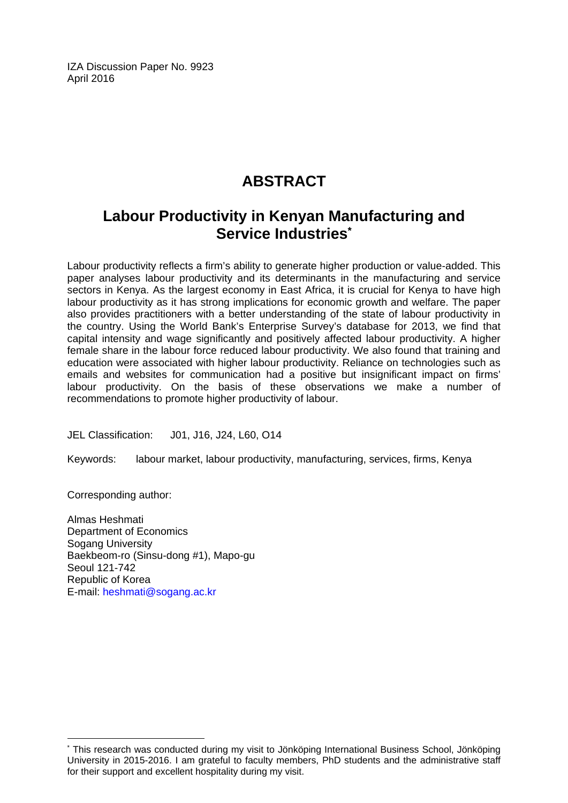IZA Discussion Paper No. 9923 April 2016

## **ABSTRACT**

### **Labour Productivity in Kenyan Manufacturing and Service Industries\***

Labour productivity reflects a firm's ability to generate higher production or value-added. This paper analyses labour productivity and its determinants in the manufacturing and service sectors in Kenya. As the largest economy in East Africa, it is crucial for Kenya to have high labour productivity as it has strong implications for economic growth and welfare. The paper also provides practitioners with a better understanding of the state of labour productivity in the country. Using the World Bank's Enterprise Survey's database for 2013, we find that capital intensity and wage significantly and positively affected labour productivity. A higher female share in the labour force reduced labour productivity. We also found that training and education were associated with higher labour productivity. Reliance on technologies such as emails and websites for communication had a positive but insignificant impact on firms' labour productivity. On the basis of these observations we make a number of recommendations to promote higher productivity of labour.

JEL Classification: J01, J16, J24, L60, O14

Keywords: labour market, labour productivity, manufacturing, services, firms, Kenya

Corresponding author:

 $\overline{a}$ 

Almas Heshmati Department of Economics Sogang University Baekbeom-ro (Sinsu-dong #1), Mapo-gu Seoul 121-742 Republic of Korea E-mail: heshmati@sogang.ac.kr

<sup>\*</sup> This research was conducted during my visit to Jönköping International Business School, Jönköping University in 2015-2016. I am grateful to faculty members, PhD students and the administrative staff for their support and excellent hospitality during my visit.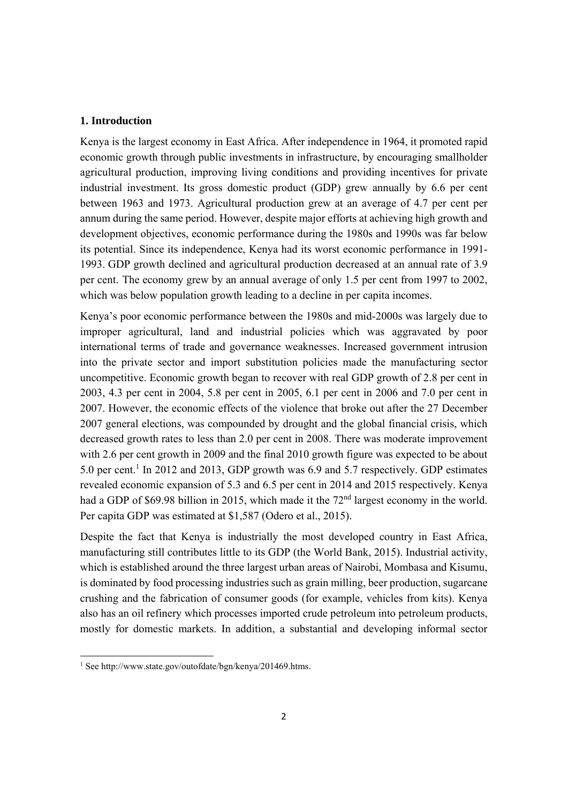#### **1. Introduction**

Kenya is the largest economy in East Africa. After independence in 1964, it promoted rapid economic growth through public investments in infrastructure, by encouraging smallholder agricultural production, improving living conditions and providing incentives for private industrial investment. Its gross domestic product (GDP) grew annually by 6.6 per cent between 1963 and 1973. Agricultural production grew at an average of 4.7 per cent per annum during the same period. However, despite major efforts at achieving high growth and development objectives, economic performance during the 1980s and 1990s was far below its potential. Since its independence, Kenya had its worst economic performance in 1991- 1993. GDP growth declined and agricultural production decreased at an annual rate of 3.9 per cent. The economy grew by an annual average of only 1.5 per cent from 1997 to 2002, which was below population growth leading to a decline in per capita incomes.

Kenya's poor economic performance between the 1980s and mid-2000s was largely due to improper agricultural, land and industrial policies which was aggravated by poor international terms of trade and governance weaknesses. Increased government intrusion into the private sector and import substitution policies made the manufacturing sector uncompetitive. Economic growth began to recover with real GDP growth of 2.8 per cent in 2003, 4.3 per cent in 2004, 5.8 per cent in 2005, 6.1 per cent in 2006 and 7.0 per cent in 2007. However, the economic effects of the violence that broke out after the 27 December 2007 general elections, was compounded by drought and the global financial crisis, which decreased growth rates to less than 2.0 per cent in 2008. There was moderate improvement with 2.6 per cent growth in 2009 and the final 2010 growth figure was expected to be about 5.0 per cent.<sup>1</sup> In 2012 and 2013, GDP growth was 6.9 and 5.7 respectively. GDP estimates revealed economic expansion of 5.3 and 6.5 per cent in 2014 and 2015 respectively. Kenya had a GDP of \$69.98 billion in 2015, which made it the 72<sup>nd</sup> largest economy in the world. Per capita GDP was estimated at \$1,587 (Odero et al., 2015).

Despite the fact that Kenya is industrially the most developed country in East Africa, manufacturing still contributes little to its GDP (the World Bank, 2015). Industrial activity, which is established around the three largest urban areas of Nairobi, Mombasa and Kisumu, is dominated by food processing industries such as grain milling, beer production, sugarcane crushing and the fabrication of consumer goods (for example, vehicles from kits). Kenya also has an oil refinery which processes imported crude petroleum into petroleum products, mostly for domestic markets. In addition, a substantial and developing informal sector

 1 See http://www.state.gov/outofdate/bgn/kenya/201469.htms.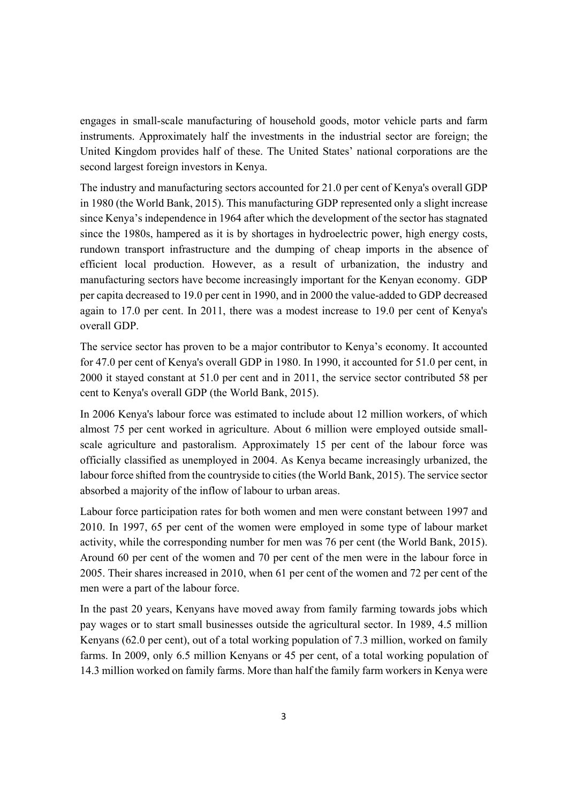engages in small-scale manufacturing of household goods, motor vehicle parts and farm instruments. Approximately half the investments in the industrial sector are foreign; the United Kingdom provides half of these. The United States' national corporations are the second largest foreign investors in Kenya.

The industry and manufacturing sectors accounted for 21.0 per cent of Kenya's overall GDP in 1980 (the World Bank, 2015). This manufacturing GDP represented only a slight increase since Kenya's independence in 1964 after which the development of the sector has stagnated since the 1980s, hampered as it is by shortages in hydroelectric power, high energy costs, rundown transport infrastructure and the dumping of cheap imports in the absence of efficient local production. However, as a result of urbanization, the industry and manufacturing sectors have become increasingly important for the Kenyan economy. GDP per capita decreased to 19.0 per cent in 1990, and in 2000 the value-added to GDP decreased again to 17.0 per cent. In 2011, there was a modest increase to 19.0 per cent of Kenya's overall GDP.

The service sector has proven to be a major contributor to Kenya's economy. It accounted for 47.0 per cent of Kenya's overall GDP in 1980. In 1990, it accounted for 51.0 per cent, in 2000 it stayed constant at 51.0 per cent and in 2011, the service sector contributed 58 per cent to Kenya's overall GDP (the World Bank, 2015).

In 2006 Kenya's labour force was estimated to include about 12 million workers, of which almost 75 per cent worked in agriculture. About 6 million were employed outside smallscale agriculture and pastoralism. Approximately 15 per cent of the labour force was officially classified as unemployed in 2004. As Kenya became increasingly urbanized, the labour force shifted from the countryside to cities (the World Bank, 2015). The service sector absorbed a majority of the inflow of labour to urban areas.

Labour force participation rates for both women and men were constant between 1997 and 2010. In 1997, 65 per cent of the women were employed in some type of labour market activity, while the corresponding number for men was 76 per cent (the World Bank, 2015). Around 60 per cent of the women and 70 per cent of the men were in the labour force in 2005. Their shares increased in 2010, when 61 per cent of the women and 72 per cent of the men were a part of the labour force.

In the past 20 years, Kenyans have moved away from family farming towards jobs which pay wages or to start small businesses outside the agricultural sector. In 1989, 4.5 million Kenyans (62.0 per cent), out of a total working population of 7.3 million, worked on family farms. In 2009, only 6.5 million Kenyans or 45 per cent, of a total working population of 14.3 million worked on family farms. More than half the family farm workers in Kenya were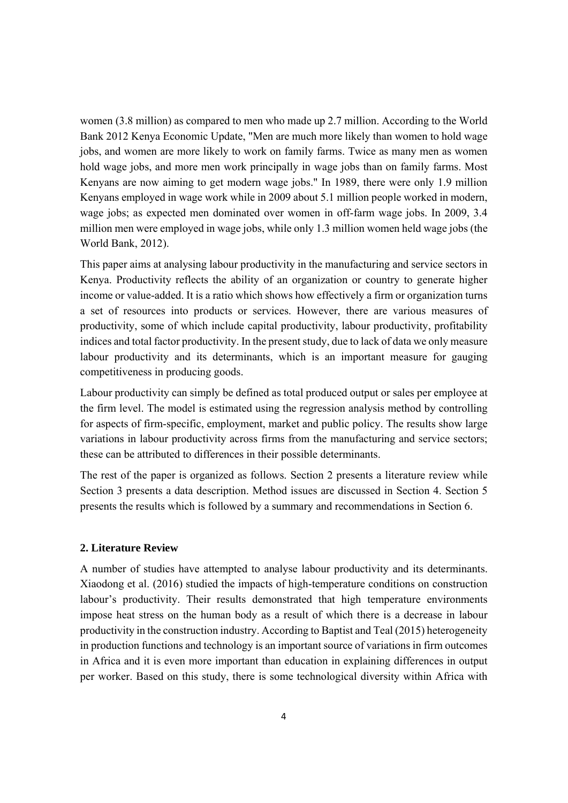women (3.8 million) as compared to men who made up 2.7 million. According to the World Bank 2012 Kenya Economic Update, "Men are much more likely than women to hold wage jobs, and women are more likely to work on family farms. Twice as many men as women hold wage jobs, and more men work principally in wage jobs than on family farms. Most Kenyans are now aiming to get modern wage jobs." In 1989, there were only 1.9 million Kenyans employed in wage work while in 2009 about 5.1 million people worked in modern, wage jobs; as expected men dominated over women in off-farm wage jobs. In 2009, 3.4 million men were employed in wage jobs, while only 1.3 million women held wage jobs (the World Bank, 2012).

This paper aims at analysing labour productivity in the manufacturing and service sectors in Kenya. Productivity reflects the ability of an organization or country to generate higher income or value-added. It is a ratio which shows how effectively a firm or organization turns a set of resources into products or services. However, there are various measures of productivity, some of which include capital productivity, labour productivity, profitability indices and total factor productivity. In the present study, due to lack of data we only measure labour productivity and its determinants, which is an important measure for gauging competitiveness in producing goods.

Labour productivity can simply be defined as total produced output or sales per employee at the firm level. The model is estimated using the regression analysis method by controlling for aspects of firm-specific, employment, market and public policy. The results show large variations in labour productivity across firms from the manufacturing and service sectors; these can be attributed to differences in their possible determinants.

The rest of the paper is organized as follows. Section 2 presents a literature review while Section 3 presents a data description. Method issues are discussed in Section 4. Section 5 presents the results which is followed by a summary and recommendations in Section 6.

#### **2. Literature Review**

A number of studies have attempted to analyse labour productivity and its determinants. Xiaodong et al. (2016) studied the impacts of high-temperature conditions on construction labour's productivity. Their results demonstrated that high temperature environments impose heat stress on the human body as a result of which there is a decrease in labour productivity in the construction industry. According to Baptist and Teal (2015) heterogeneity in production functions and technology is an important source of variations in firm outcomes in Africa and it is even more important than education in explaining differences in output per worker. Based on this study, there is some technological diversity within Africa with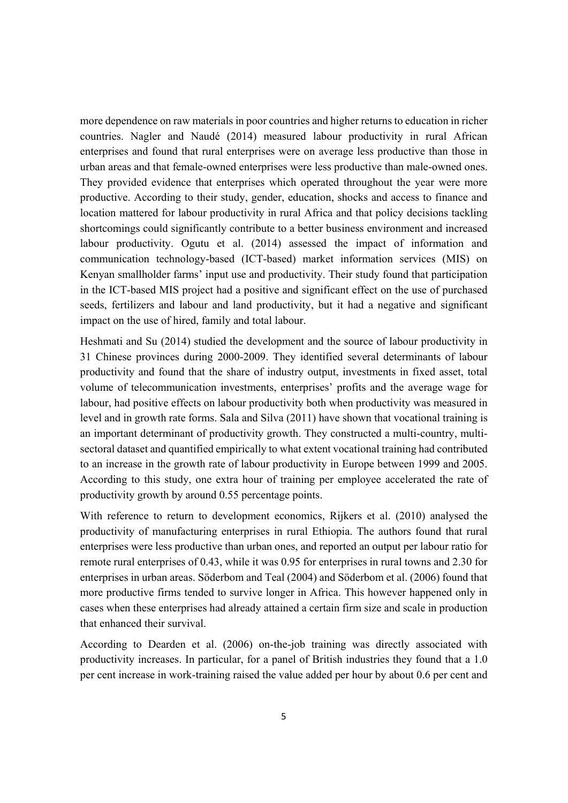more dependence on raw materials in poor countries and higher returns to education in richer countries. Nagler and Naudé (2014) measured labour productivity in rural African enterprises and found that rural enterprises were on average less productive than those in urban areas and that female-owned enterprises were less productive than male-owned ones. They provided evidence that enterprises which operated throughout the year were more productive. According to their study, gender, education, shocks and access to finance and location mattered for labour productivity in rural Africa and that policy decisions tackling shortcomings could significantly contribute to a better business environment and increased labour productivity. Ogutu et al. (2014) assessed the impact of information and communication technology-based (ICT-based) market information services (MIS) on Kenyan smallholder farms' input use and productivity. Their study found that participation in the ICT-based MIS project had a positive and significant effect on the use of purchased seeds, fertilizers and labour and land productivity, but it had a negative and significant impact on the use of hired, family and total labour.

Heshmati and Su (2014) studied the development and the source of labour productivity in 31 Chinese provinces during 2000-2009. They identified several determinants of labour productivity and found that the share of industry output, investments in fixed asset, total volume of telecommunication investments, enterprises' profits and the average wage for labour, had positive effects on labour productivity both when productivity was measured in level and in growth rate forms. Sala and Silva (2011) have shown that vocational training is an important determinant of productivity growth. They constructed a multi-country, multisectoral dataset and quantified empirically to what extent vocational training had contributed to an increase in the growth rate of labour productivity in Europe between 1999 and 2005. According to this study, one extra hour of training per employee accelerated the rate of productivity growth by around 0.55 percentage points.

With reference to return to development economics, Rijkers et al. (2010) analysed the productivity of manufacturing enterprises in rural Ethiopia. The authors found that rural enterprises were less productive than urban ones, and reported an output per labour ratio for remote rural enterprises of 0.43, while it was 0.95 for enterprises in rural towns and 2.30 for enterprises in urban areas. Söderbom and Teal (2004) and Söderbom et al. (2006) found that more productive firms tended to survive longer in Africa. This however happened only in cases when these enterprises had already attained a certain firm size and scale in production that enhanced their survival.

According to Dearden et al. (2006) on-the-job training was directly associated with productivity increases. In particular, for a panel of British industries they found that a 1.0 per cent increase in work-training raised the value added per hour by about 0.6 per cent and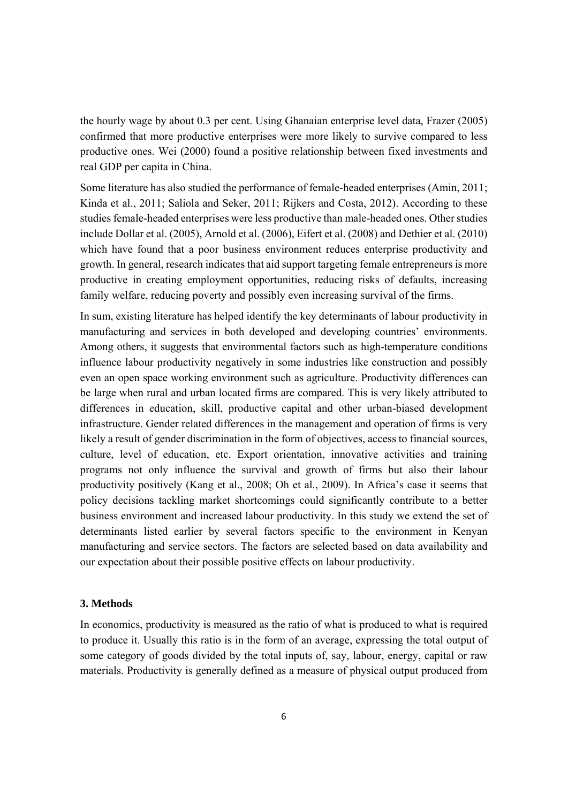the hourly wage by about 0.3 per cent. Using Ghanaian enterprise level data, Frazer (2005) confirmed that more productive enterprises were more likely to survive compared to less productive ones. Wei (2000) found a positive relationship between fixed investments and real GDP per capita in China.

Some literature has also studied the performance of female-headed enterprises (Amin, 2011; Kinda et al., 2011; Saliola and Seker, 2011; Rijkers and Costa, 2012). According to these studies female-headed enterprises were less productive than male-headed ones. Other studies include Dollar et al. (2005), Arnold et al. (2006), Eifert et al. (2008) and Dethier et al. (2010) which have found that a poor business environment reduces enterprise productivity and growth. In general, research indicates that aid support targeting female entrepreneurs is more productive in creating employment opportunities, reducing risks of defaults, increasing family welfare, reducing poverty and possibly even increasing survival of the firms.

In sum, existing literature has helped identify the key determinants of labour productivity in manufacturing and services in both developed and developing countries' environments. Among others, it suggests that environmental factors such as high-temperature conditions influence labour productivity negatively in some industries like construction and possibly even an open space working environment such as agriculture. Productivity differences can be large when rural and urban located firms are compared. This is very likely attributed to differences in education, skill, productive capital and other urban-biased development infrastructure. Gender related differences in the management and operation of firms is very likely a result of gender discrimination in the form of objectives, access to financial sources, culture, level of education, etc. Export orientation, innovative activities and training programs not only influence the survival and growth of firms but also their labour productivity positively (Kang et al., 2008; Oh et al., 2009). In Africa's case it seems that policy decisions tackling market shortcomings could significantly contribute to a better business environment and increased labour productivity. In this study we extend the set of determinants listed earlier by several factors specific to the environment in Kenyan manufacturing and service sectors. The factors are selected based on data availability and our expectation about their possible positive effects on labour productivity.

#### **3. Methods**

In economics, productivity is measured as the ratio of what is produced to what is required to produce it. Usually this ratio is in the form of an average, expressing the total output of some category of goods divided by the total inputs of, say, labour, energy, capital or raw materials. Productivity is generally defined as a measure of physical output produced from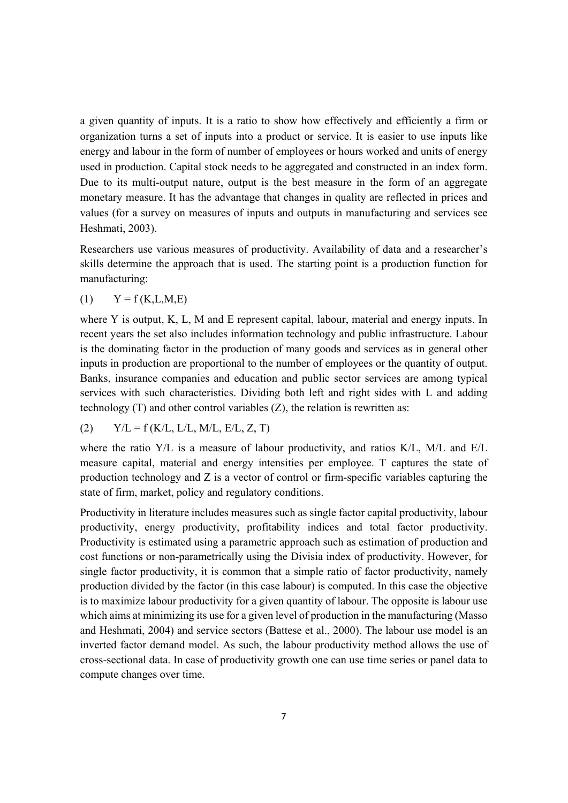a given quantity of inputs. It is a ratio to show how effectively and efficiently a firm or organization turns a set of inputs into a product or service. It is easier to use inputs like energy and labour in the form of number of employees or hours worked and units of energy used in production. Capital stock needs to be aggregated and constructed in an index form. Due to its multi-output nature, output is the best measure in the form of an aggregate monetary measure. It has the advantage that changes in quality are reflected in prices and values (for a survey on measures of inputs and outputs in manufacturing and services see Heshmati, 2003).

Researchers use various measures of productivity. Availability of data and a researcher's skills determine the approach that is used. The starting point is a production function for manufacturing:

(1)  $Y = f(K, L, M, E)$ 

where Y is output, K, L, M and E represent capital, labour, material and energy inputs. In recent years the set also includes information technology and public infrastructure. Labour is the dominating factor in the production of many goods and services as in general other inputs in production are proportional to the number of employees or the quantity of output. Banks, insurance companies and education and public sector services are among typical services with such characteristics. Dividing both left and right sides with L and adding technology (T) and other control variables (Z), the relation is rewritten as:

(2)  $Y/L = f(K/L, L/L, M/L, E/L, Z, T)$ 

where the ratio Y/L is a measure of labour productivity, and ratios K/L, M/L and E/L measure capital, material and energy intensities per employee. T captures the state of production technology and Z is a vector of control or firm-specific variables capturing the state of firm, market, policy and regulatory conditions.

Productivity in literature includes measures such as single factor capital productivity, labour productivity, energy productivity, profitability indices and total factor productivity. Productivity is estimated using a parametric approach such as estimation of production and cost functions or non-parametrically using the Divisia index of productivity. However, for single factor productivity, it is common that a simple ratio of factor productivity, namely production divided by the factor (in this case labour) is computed. In this case the objective is to maximize labour productivity for a given quantity of labour. The opposite is labour use which aims at minimizing its use for a given level of production in the manufacturing (Masso and Heshmati, 2004) and service sectors (Battese et al., 2000). The labour use model is an inverted factor demand model. As such, the labour productivity method allows the use of cross-sectional data. In case of productivity growth one can use time series or panel data to compute changes over time.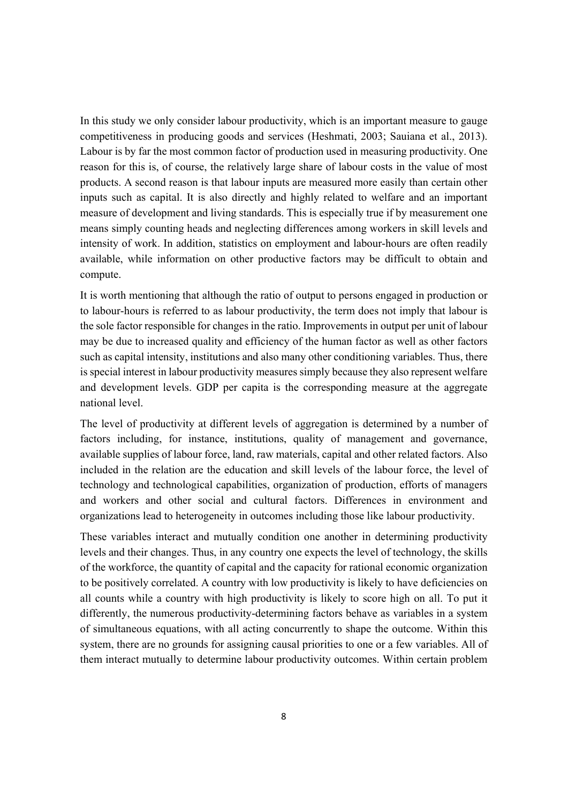In this study we only consider labour productivity, which is an important measure to gauge competitiveness in producing goods and services (Heshmati, 2003; Sauiana et al., 2013). Labour is by far the most common factor of production used in measuring productivity. One reason for this is, of course, the relatively large share of labour costs in the value of most products. A second reason is that labour inputs are measured more easily than certain other inputs such as capital. It is also directly and highly related to welfare and an important measure of development and living standards. This is especially true if by measurement one means simply counting heads and neglecting differences among workers in skill levels and intensity of work. In addition, statistics on employment and labour-hours are often readily available, while information on other productive factors may be difficult to obtain and compute.

It is worth mentioning that although the ratio of output to persons engaged in production or to labour-hours is referred to as labour productivity, the term does not imply that labour is the sole factor responsible for changes in the ratio. Improvements in output per unit of labour may be due to increased quality and efficiency of the human factor as well as other factors such as capital intensity, institutions and also many other conditioning variables. Thus, there is special interest in labour productivity measures simply because they also represent welfare and development levels. GDP per capita is the corresponding measure at the aggregate national level.

The level of productivity at different levels of aggregation is determined by a number of factors including, for instance, institutions, quality of management and governance, available supplies of labour force, land, raw materials, capital and other related factors. Also included in the relation are the education and skill levels of the labour force, the level of technology and technological capabilities, organization of production, efforts of managers and workers and other social and cultural factors. Differences in environment and organizations lead to heterogeneity in outcomes including those like labour productivity.

These variables interact and mutually condition one another in determining productivity levels and their changes. Thus, in any country one expects the level of technology, the skills of the workforce, the quantity of capital and the capacity for rational economic organization to be positively correlated. A country with low productivity is likely to have deficiencies on all counts while a country with high productivity is likely to score high on all. To put it differently, the numerous productivity-determining factors behave as variables in a system of simultaneous equations, with all acting concurrently to shape the outcome. Within this system, there are no grounds for assigning causal priorities to one or a few variables. All of them interact mutually to determine labour productivity outcomes. Within certain problem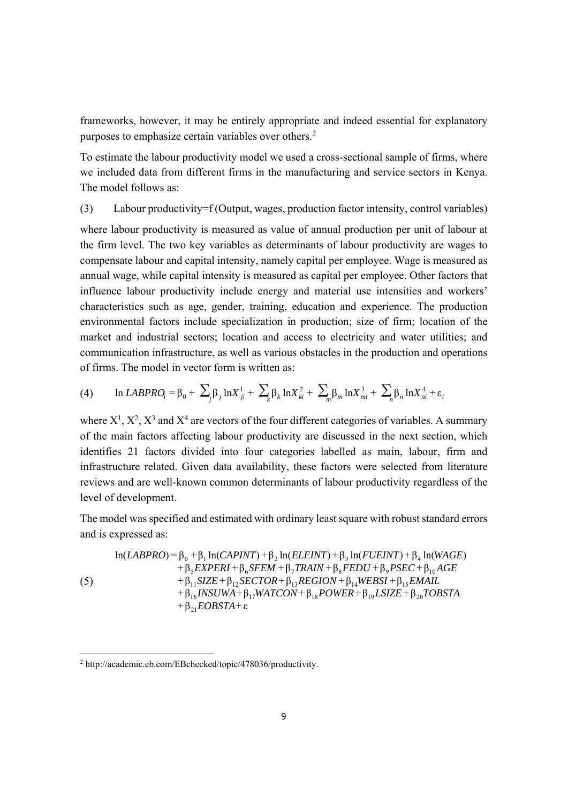frameworks, however, it may be entirely appropriate and indeed essential for explanatory purposes to emphasize certain variables over others.2

To estimate the labour productivity model we used a cross-sectional sample of firms, where we included data from different firms in the manufacturing and service sectors in Kenya. The model follows as:

(3) Labour productivity=f (Output, wages, production factor intensity, control variables)

where labour productivity is measured as value of annual production per unit of labour at the firm level. The two key variables as determinants of labour productivity are wages to compensate labour and capital intensity, namely capital per employee. Wage is measured as annual wage, while capital intensity is measured as capital per employee. Other factors that influence labour productivity include energy and material use intensities and workers' characteristics such as age, gender, training, education and experience. The production environmental factors include specialization in production; size of firm; location of the market and industrial sectors; location and access to electricity and water utilities; and communication infrastructure, as well as various obstacles in the production and operations of firms. The model in vector form is written as:

(4) 
$$
\ln LABPRO_{i} = \beta_{0} + \sum_{j} \beta_{j} \ln X_{ji}^{1} + \sum_{k} \beta_{k} \ln X_{ki}^{2} + \sum_{m} \beta_{m} \ln X_{mi}^{3} + \sum_{n} \beta_{n} \ln X_{ni}^{4} + \varepsilon_{i}
$$

where  $X^1$ ,  $X^2$ ,  $X^3$  and  $X^4$  are vectors of the four different categories of variables. A summary of the main factors affecting labour productivity are discussed in the next section, which identifies 21 factors divided into four categories labelled as main, labour, firm and infrastructure related. Given data availability, these factors were selected from literature reviews and are well-known common determinants of labour productivity regardless of the level of development.

The model was specified and estimated with ordinary least square with robust standard errors and is expressed as:

$$
\ln(LABPRO) = \beta_0 + \beta_1 \ln(CAPINT) + \beta_2 \ln(ELEINT) + \beta_3 \ln(FUEINT) + \beta_4 \ln(WAGE) + \beta_5 EXPERI + \beta_6 SFEM + \beta_7 TRAIN + \beta_8 FEDU + \beta_9 PSEC + \beta_{10} AGE + \beta_{11} SIZE + \beta_{12} SECTOR + \beta_{13} REGION + \beta_{14} WEBSI + \beta_{15} EMAIL + \beta_{16} INSUWA + \beta_{17} WATCON + \beta_{18} POWER + \beta_{19} LSIZE + \beta_{20} TOBSTA + \beta_{21} EOSTA + \epsilon
$$

<sup>2</sup> http://academic.eb.com/EBchecked/topic/478036/productivity.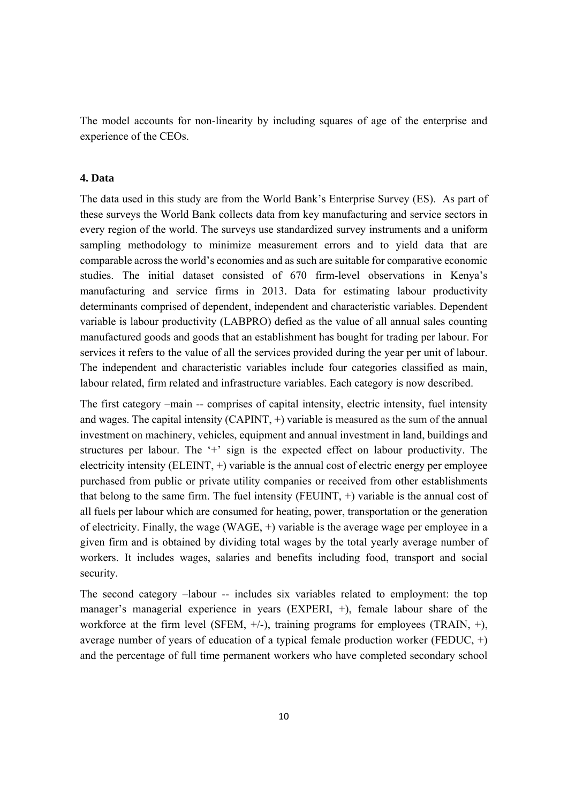The model accounts for non-linearity by including squares of age of the enterprise and experience of the CEOs.

#### **4. Data**

The data used in this study are from the World Bank's Enterprise Survey (ES). As part of these surveys the World Bank collects data from key manufacturing and service sectors in every region of the world. The surveys use standardized survey instruments and a uniform sampling methodology to minimize measurement errors and to yield data that are comparable across the world's economies and as such are suitable for comparative economic studies. The initial dataset consisted of 670 firm-level observations in Kenya's manufacturing and service firms in 2013. Data for estimating labour productivity determinants comprised of dependent, independent and characteristic variables. Dependent variable is labour productivity (LABPRO) defied as the value of all annual sales counting manufactured goods and goods that an establishment has bought for trading per labour. For services it refers to the value of all the services provided during the year per unit of labour. The independent and characteristic variables include four categories classified as main, labour related, firm related and infrastructure variables. Each category is now described.

The first category –main -- comprises of capital intensity, electric intensity, fuel intensity and wages. The capital intensity (CAPINT, +) variable is measured as the sum of the annual investment on machinery, vehicles, equipment and annual investment in land, buildings and structures per labour. The '+' sign is the expected effect on labour productivity. The electricity intensity (ELEINT, +) variable is the annual cost of electric energy per employee purchased from public or private utility companies or received from other establishments that belong to the same firm. The fuel intensity (FEUINT, +) variable is the annual cost of all fuels per labour which are consumed for heating, power, transportation or the generation of electricity. Finally, the wage (WAGE, +) variable is the average wage per employee in a given firm and is obtained by dividing total wages by the total yearly average number of workers. It includes wages, salaries and benefits including food, transport and social security.

The second category –labour -- includes six variables related to employment: the top manager's managerial experience in years (EXPERI, +), female labour share of the workforce at the firm level (SFEM,  $+/-$ ), training programs for employees (TRAIN,  $+$ ), average number of years of education of a typical female production worker (FEDUC, +) and the percentage of full time permanent workers who have completed secondary school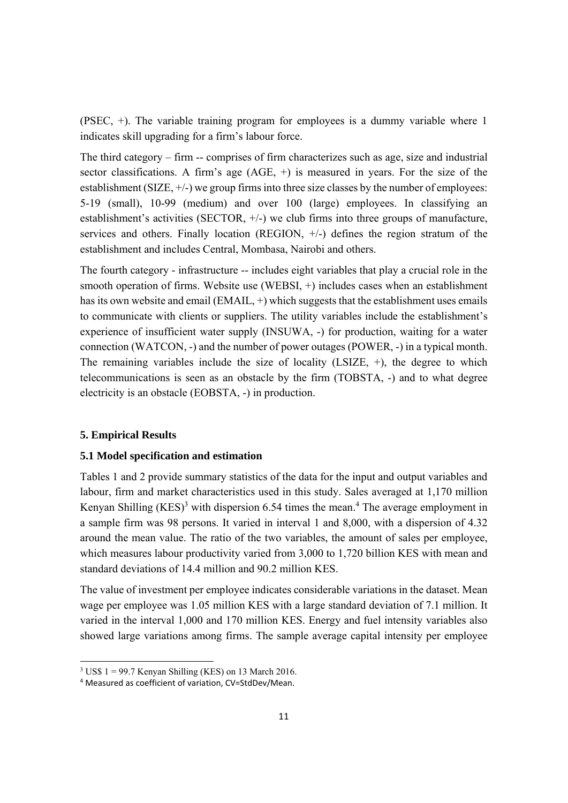(PSEC, +). The variable training program for employees is a dummy variable where 1 indicates skill upgrading for a firm's labour force.

The third category – firm -- comprises of firm characterizes such as age, size and industrial sector classifications. A firm's age (AGE, +) is measured in years. For the size of the establishment (SIZE, +/-) we group firms into three size classes by the number of employees: 5-19 (small), 10-99 (medium) and over 100 (large) employees. In classifying an establishment's activities (SECTOR,  $+/-$ ) we club firms into three groups of manufacture, services and others. Finally location (REGION,  $+/-$ ) defines the region stratum of the establishment and includes Central, Mombasa, Nairobi and others.

The fourth category - infrastructure -- includes eight variables that play a crucial role in the smooth operation of firms. Website use (WEBSI, +) includes cases when an establishment has its own website and email (EMAIL, +) which suggests that the establishment uses emails to communicate with clients or suppliers. The utility variables include the establishment's experience of insufficient water supply (INSUWA, -) for production, waiting for a water connection (WATCON, -) and the number of power outages (POWER, -) in a typical month. The remaining variables include the size of locality  $(LSIZE, +)$ , the degree to which telecommunications is seen as an obstacle by the firm (TOBSTA, -) and to what degree electricity is an obstacle (EOBSTA, -) in production.

#### **5. Empirical Results**

#### **5.1 Model specification and estimation**

Tables 1 and 2 provide summary statistics of the data for the input and output variables and labour, firm and market characteristics used in this study. Sales averaged at 1,170 million Kenyan Shilling  $(KES)^3$  with dispersion 6.54 times the mean.<sup>4</sup> The average employment in a sample firm was 98 persons. It varied in interval 1 and 8,000, with a dispersion of 4.32 around the mean value. The ratio of the two variables, the amount of sales per employee, which measures labour productivity varied from 3,000 to 1,720 billion KES with mean and standard deviations of 14.4 million and 90.2 million KES.

The value of investment per employee indicates considerable variations in the dataset. Mean wage per employee was 1.05 million KES with a large standard deviation of 7.1 million. It varied in the interval 1,000 and 170 million KES. Energy and fuel intensity variables also showed large variations among firms. The sample average capital intensity per employee

 $3 \text{ US}\$$  1 = 99.7 Kenyan Shilling (KES) on 13 March 2016.

<sup>4</sup> Measured as coefficient of variation, CV=StdDev/Mean.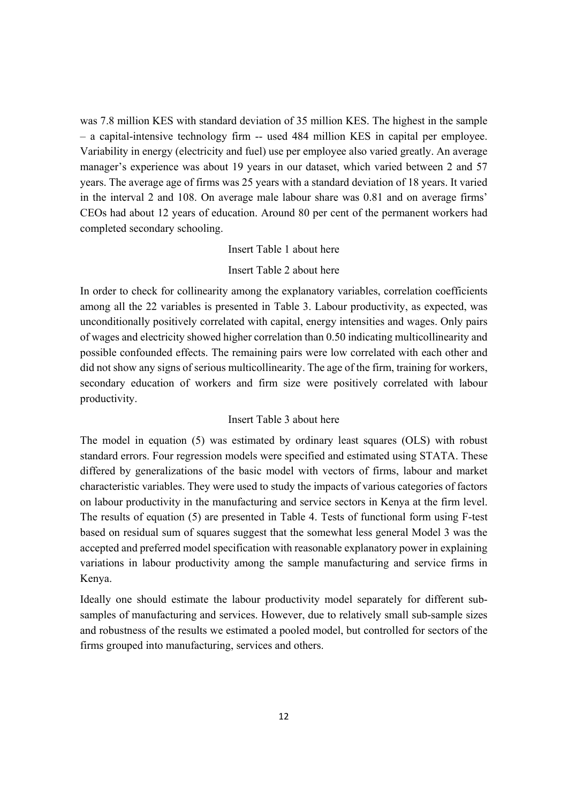was 7.8 million KES with standard deviation of 35 million KES. The highest in the sample – a capital-intensive technology firm -- used 484 million KES in capital per employee. Variability in energy (electricity and fuel) use per employee also varied greatly. An average manager's experience was about 19 years in our dataset, which varied between 2 and 57 years. The average age of firms was 25 years with a standard deviation of 18 years. It varied in the interval 2 and 108. On average male labour share was 0.81 and on average firms' CEOs had about 12 years of education. Around 80 per cent of the permanent workers had completed secondary schooling.

#### Insert Table 1 about here

#### Insert Table 2 about here

In order to check for collinearity among the explanatory variables, correlation coefficients among all the 22 variables is presented in Table 3. Labour productivity, as expected, was unconditionally positively correlated with capital, energy intensities and wages. Only pairs of wages and electricity showed higher correlation than 0.50 indicating multicollinearity and possible confounded effects. The remaining pairs were low correlated with each other and did not show any signs of serious multicollinearity. The age of the firm, training for workers, secondary education of workers and firm size were positively correlated with labour productivity.

#### Insert Table 3 about here

The model in equation (5) was estimated by ordinary least squares (OLS) with robust standard errors. Four regression models were specified and estimated using STATA. These differed by generalizations of the basic model with vectors of firms, labour and market characteristic variables. They were used to study the impacts of various categories of factors on labour productivity in the manufacturing and service sectors in Kenya at the firm level. The results of equation (5) are presented in Table 4. Tests of functional form using F-test based on residual sum of squares suggest that the somewhat less general Model 3 was the accepted and preferred model specification with reasonable explanatory power in explaining variations in labour productivity among the sample manufacturing and service firms in Kenya.

Ideally one should estimate the labour productivity model separately for different subsamples of manufacturing and services. However, due to relatively small sub-sample sizes and robustness of the results we estimated a pooled model, but controlled for sectors of the firms grouped into manufacturing, services and others.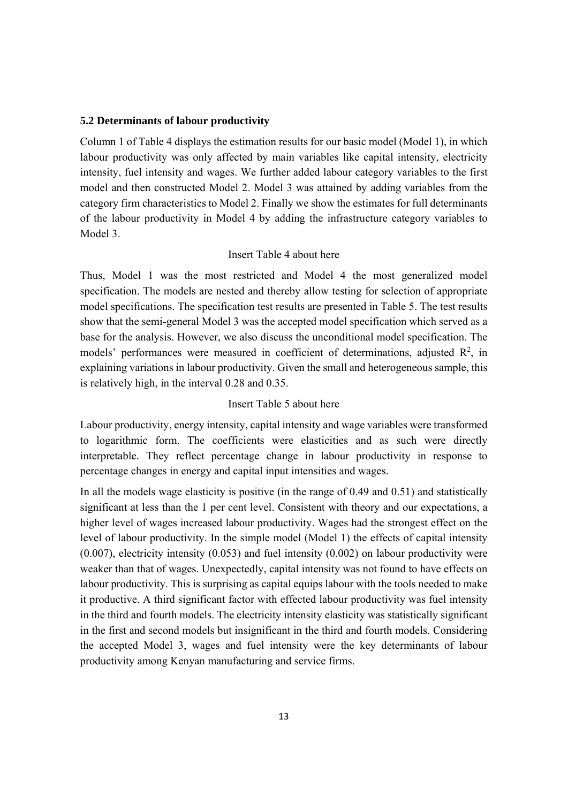#### **5.2 Determinants of labour productivity**

Column 1 of Table 4 displays the estimation results for our basic model (Model 1), in which labour productivity was only affected by main variables like capital intensity, electricity intensity, fuel intensity and wages. We further added labour category variables to the first model and then constructed Model 2. Model 3 was attained by adding variables from the category firm characteristics to Model 2. Finally we show the estimates for full determinants of the labour productivity in Model 4 by adding the infrastructure category variables to Model 3.

#### Insert Table 4 about here

Thus, Model 1 was the most restricted and Model 4 the most generalized model specification. The models are nested and thereby allow testing for selection of appropriate model specifications. The specification test results are presented in Table 5. The test results show that the semi-general Model 3 was the accepted model specification which served as a base for the analysis. However, we also discuss the unconditional model specification. The models' performances were measured in coefficient of determinations, adjusted  $\mathbb{R}^2$ , in explaining variations in labour productivity. Given the small and heterogeneous sample, this is relatively high, in the interval 0.28 and 0.35.

#### Insert Table 5 about here

Labour productivity, energy intensity, capital intensity and wage variables were transformed to logarithmic form. The coefficients were elasticities and as such were directly interpretable. They reflect percentage change in labour productivity in response to percentage changes in energy and capital input intensities and wages.

In all the models wage elasticity is positive (in the range of 0.49 and 0.51) and statistically significant at less than the 1 per cent level. Consistent with theory and our expectations, a higher level of wages increased labour productivity. Wages had the strongest effect on the level of labour productivity. In the simple model (Model 1) the effects of capital intensity  $(0.007)$ , electricity intensity  $(0.053)$  and fuel intensity  $(0.002)$  on labour productivity were weaker than that of wages. Unexpectedly, capital intensity was not found to have effects on labour productivity. This is surprising as capital equips labour with the tools needed to make it productive. A third significant factor with effected labour productivity was fuel intensity in the third and fourth models. The electricity intensity elasticity was statistically significant in the first and second models but insignificant in the third and fourth models. Considering the accepted Model 3, wages and fuel intensity were the key determinants of labour productivity among Kenyan manufacturing and service firms.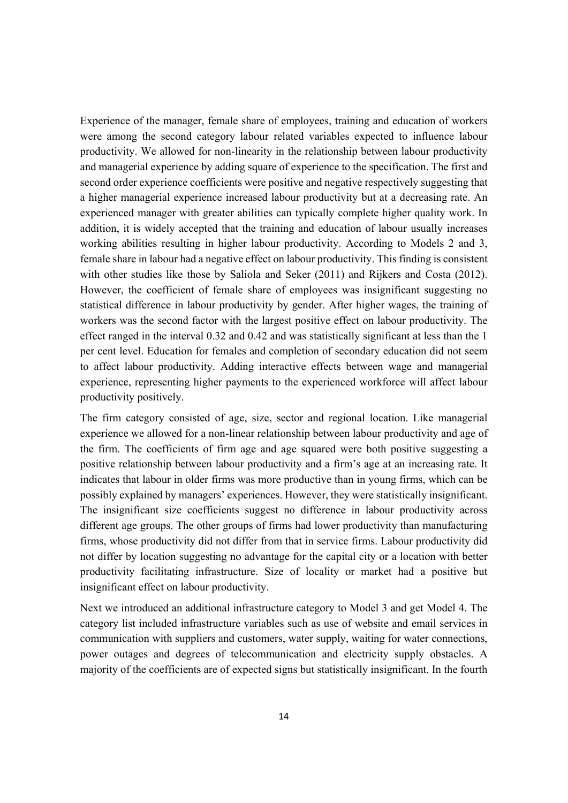Experience of the manager, female share of employees, training and education of workers were among the second category labour related variables expected to influence labour productivity. We allowed for non-linearity in the relationship between labour productivity and managerial experience by adding square of experience to the specification. The first and second order experience coefficients were positive and negative respectively suggesting that a higher managerial experience increased labour productivity but at a decreasing rate. An experienced manager with greater abilities can typically complete higher quality work. In addition, it is widely accepted that the training and education of labour usually increases working abilities resulting in higher labour productivity. According to Models 2 and 3, female share in labour had a negative effect on labour productivity. This finding is consistent with other studies like those by Saliola and Seker (2011) and Rijkers and Costa (2012). However, the coefficient of female share of employees was insignificant suggesting no statistical difference in labour productivity by gender. After higher wages, the training of workers was the second factor with the largest positive effect on labour productivity. The effect ranged in the interval 0.32 and 0.42 and was statistically significant at less than the 1 per cent level. Education for females and completion of secondary education did not seem to affect labour productivity. Adding interactive effects between wage and managerial experience, representing higher payments to the experienced workforce will affect labour productivity positively.

The firm category consisted of age, size, sector and regional location. Like managerial experience we allowed for a non-linear relationship between labour productivity and age of the firm. The coefficients of firm age and age squared were both positive suggesting a positive relationship between labour productivity and a firm's age at an increasing rate. It indicates that labour in older firms was more productive than in young firms, which can be possibly explained by managers' experiences. However, they were statistically insignificant. The insignificant size coefficients suggest no difference in labour productivity across different age groups. The other groups of firms had lower productivity than manufacturing firms, whose productivity did not differ from that in service firms. Labour productivity did not differ by location suggesting no advantage for the capital city or a location with better productivity facilitating infrastructure. Size of locality or market had a positive but insignificant effect on labour productivity.

Next we introduced an additional infrastructure category to Model 3 and get Model 4. The category list included infrastructure variables such as use of website and email services in communication with suppliers and customers, water supply, waiting for water connections, power outages and degrees of telecommunication and electricity supply obstacles. A majority of the coefficients are of expected signs but statistically insignificant. In the fourth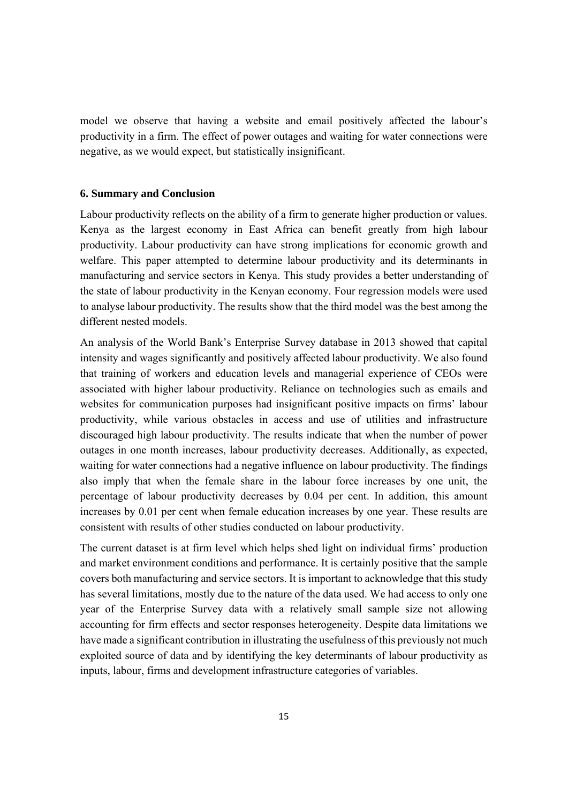model we observe that having a website and email positively affected the labour's productivity in a firm. The effect of power outages and waiting for water connections were negative, as we would expect, but statistically insignificant.

#### **6. Summary and Conclusion**

Labour productivity reflects on the ability of a firm to generate higher production or values. Kenya as the largest economy in East Africa can benefit greatly from high labour productivity. Labour productivity can have strong implications for economic growth and welfare. This paper attempted to determine labour productivity and its determinants in manufacturing and service sectors in Kenya. This study provides a better understanding of the state of labour productivity in the Kenyan economy. Four regression models were used to analyse labour productivity. The results show that the third model was the best among the different nested models.

An analysis of the World Bank's Enterprise Survey database in 2013 showed that capital intensity and wages significantly and positively affected labour productivity. We also found that training of workers and education levels and managerial experience of CEOs were associated with higher labour productivity. Reliance on technologies such as emails and websites for communication purposes had insignificant positive impacts on firms' labour productivity, while various obstacles in access and use of utilities and infrastructure discouraged high labour productivity. The results indicate that when the number of power outages in one month increases, labour productivity decreases. Additionally, as expected, waiting for water connections had a negative influence on labour productivity. The findings also imply that when the female share in the labour force increases by one unit, the percentage of labour productivity decreases by 0.04 per cent. In addition, this amount increases by 0.01 per cent when female education increases by one year. These results are consistent with results of other studies conducted on labour productivity.

The current dataset is at firm level which helps shed light on individual firms' production and market environment conditions and performance. It is certainly positive that the sample covers both manufacturing and service sectors. It is important to acknowledge that this study has several limitations, mostly due to the nature of the data used. We had access to only one year of the Enterprise Survey data with a relatively small sample size not allowing accounting for firm effects and sector responses heterogeneity. Despite data limitations we have made a significant contribution in illustrating the usefulness of this previously not much exploited source of data and by identifying the key determinants of labour productivity as inputs, labour, firms and development infrastructure categories of variables.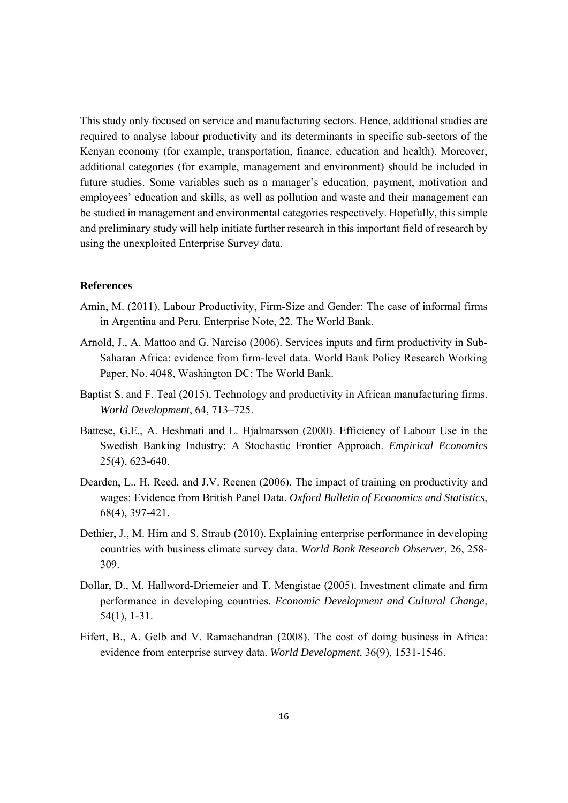This study only focused on service and manufacturing sectors. Hence, additional studies are required to analyse labour productivity and its determinants in specific sub-sectors of the Kenyan economy (for example, transportation, finance, education and health). Moreover, additional categories (for example, management and environment) should be included in future studies. Some variables such as a manager's education, payment, motivation and employees' education and skills, as well as pollution and waste and their management can be studied in management and environmental categories respectively. Hopefully, this simple and preliminary study will help initiate further research in this important field of research by using the unexploited Enterprise Survey data.

#### **References**

- Amin, M. (2011). Labour Productivity, Firm-Size and Gender: The case of informal firms in Argentina and Peru. Enterprise Note, 22. The World Bank.
- Arnold, J., A. Mattoo and G. Narciso (2006). Services inputs and firm productivity in Sub-Saharan Africa: evidence from firm-level data. World Bank Policy Research Working Paper, No. 4048, Washington DC: The World Bank.
- Baptist S. and F. Teal (2015). Technology and productivity in African manufacturing firms. *World Development*, 64, 713–725.
- Battese, G.E., A. Heshmati and L. Hjalmarsson (2000). Efficiency of Labour Use in the Swedish Banking Industry: A Stochastic Frontier Approach. *Empirical Economics* 25(4), 623-640.
- Dearden, L., H. Reed, and J.V. Reenen (2006). The impact of training on productivity and wages: Evidence from British Panel Data. *Oxford Bulletin of Economics and Statistics*, 68(4), 397-421.
- Dethier, J., M. Hirn and S. Straub (2010). Explaining enterprise performance in developing countries with business climate survey data. *World Bank Research Observer*, 26, 258- 309.
- Dollar, D., M. Hallword-Driemeier and T. Mengistae (2005). Investment climate and firm performance in developing countries. *Economic Development and Cultural Change*, 54(1), 1-31.
- Eifert, B., A. Gelb and V. Ramachandran (2008). The cost of doing business in Africa: evidence from enterprise survey data. *World Development*, 36(9), 1531-1546.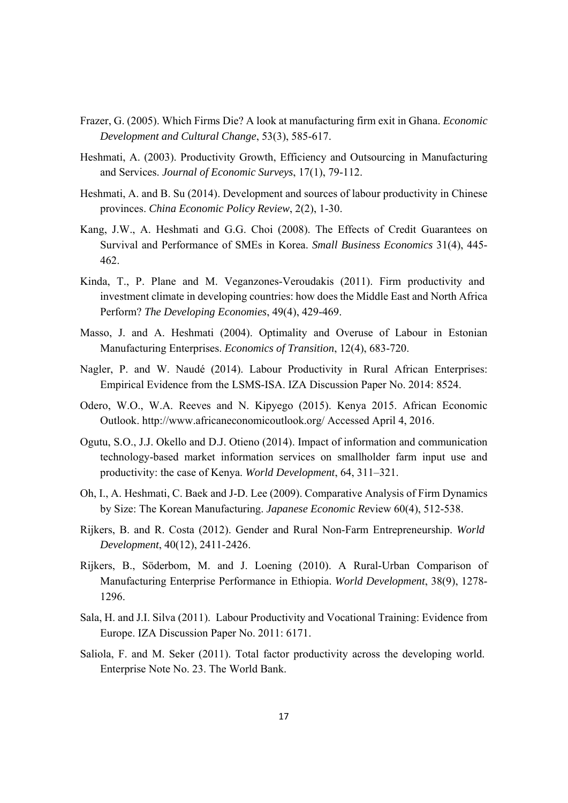- Frazer, G. (2005). Which Firms Die? A look at manufacturing firm exit in Ghana. *Economic Development and Cultural Change*, 53(3), 585-617.
- Heshmati, A. (2003). Productivity Growth, Efficiency and Outsourcing in Manufacturing and Services. *Journal of Economic Surveys*, 17(1), 79-112.
- Heshmati, A. and B. Su (2014). Development and sources of labour productivity in Chinese provinces. *China Economic Policy Review*, 2(2), 1-30.
- Kang, J.W., A. Heshmati and G.G. Choi (2008). The Effects of Credit Guarantees on Survival and Performance of SMEs in Korea. *Small Business Economics* 31(4), 445- 462.
- Kinda, T., P. Plane and M. Veganzones-Veroudakis (2011). Firm productivity and investment climate in developing countries: how does the Middle East and North Africa Perform? *The Developing Economies*, 49(4), 429-469.
- Masso, J. and A. Heshmati (2004). Optimality and Overuse of Labour in Estonian Manufacturing Enterprises. *Economics of Transition*, 12(4), 683-720.
- Nagler, P. and W. Naudé (2014). Labour Productivity in Rural African Enterprises: Empirical Evidence from the LSMS-ISA. IZA Discussion Paper No. 2014: 8524.
- Odero, W.O., W.A. Reeves and N. Kipyego (2015). Kenya 2015. African Economic Outlook. http://www.africaneconomicoutlook.org/ Accessed April 4, 2016.
- Ogutu, S.O., J.J. Okello and D.J. Otieno (2014). Impact of information and communication technology-based market information services on smallholder farm input use and productivity: the case of Kenya. *World Development*, 64, 311–321.
- Oh, I., A. Heshmati, C. Baek and J-D. Lee (2009). Comparative Analysis of Firm Dynamics by Size: The Korean Manufacturing. *Japanese Economic Re*view 60(4), 512-538.
- Rijkers, B. and R. Costa (2012). Gender and Rural Non-Farm Entrepreneurship. *World Development*, 40(12), 2411-2426.
- Rijkers, B., Söderbom, M. and J. Loening (2010). A Rural-Urban Comparison of Manufacturing Enterprise Performance in Ethiopia. *World Development*, 38(9), 1278- 1296.
- Sala, H. and J.I. Silva (2011). Labour Productivity and Vocational Training: Evidence from Europe. IZA Discussion Paper No. 2011: 6171.
- Saliola, F. and M. Seker (2011). Total factor productivity across the developing world. Enterprise Note No. 23. The World Bank.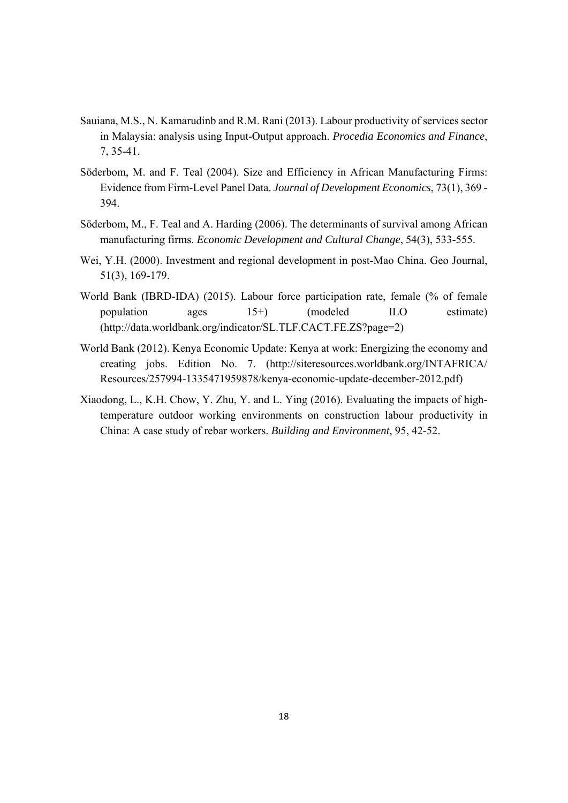- Sauiana, M.S., N. Kamarudinb and R.M. Rani (2013). Labour productivity of services sector in Malaysia: analysis using Input-Output approach. *Procedia Economics and Finance*, 7, 35-41.
- Söderbom, M. and F. Teal (2004). Size and Efficiency in African Manufacturing Firms: Evidence from Firm-Level Panel Data. *Journal of Development Economics*, 73(1), 369 - 394.
- Söderbom, M., F. Teal and A. Harding (2006). The determinants of survival among African manufacturing firms. *Economic Development and Cultural Change*, 54(3), 533-555.
- Wei, Y.H. (2000). Investment and regional development in post-Mao China. Geo Journal, 51(3), 169-179.
- World Bank (IBRD-IDA) (2015). Labour force participation rate, female (% of female population ages 15+) (modeled ILO estimate) (http://data.worldbank.org/indicator/SL.TLF.CACT.FE.ZS?page=2)
- World Bank (2012). Kenya Economic Update: Kenya at work: Energizing the economy and creating jobs. Edition No. 7. (http://siteresources.worldbank.org/INTAFRICA/ Resources/257994-1335471959878/kenya-economic-update-december-2012.pdf)
- Xiaodong, L., K.H. Chow, Y. Zhu, Y. and L. Ying (2016). Evaluating the impacts of hightemperature outdoor working environments on construction labour productivity in China: A case study of rebar workers. *Building and Environment*, 95, 42-52.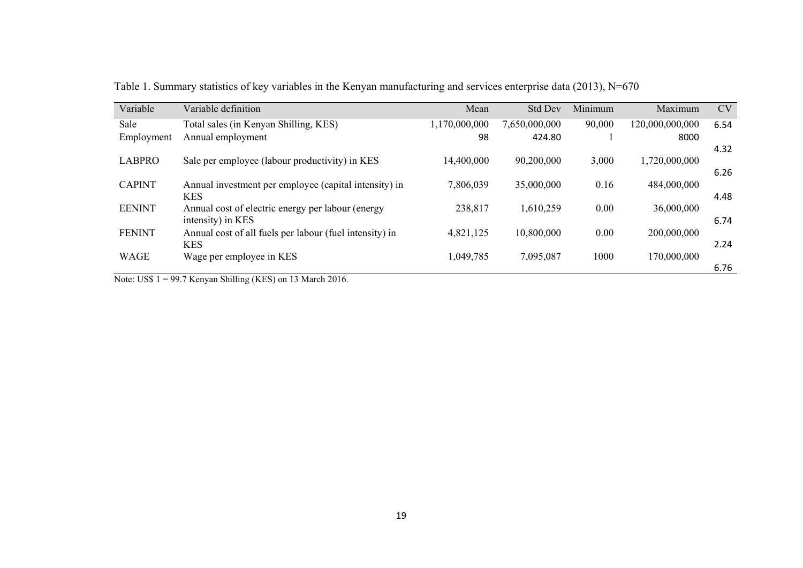| Variable      | Variable definition                                     | Mean          | <b>Std Dev</b> | Minimum | Maximum         | <b>CV</b> |
|---------------|---------------------------------------------------------|---------------|----------------|---------|-----------------|-----------|
| Sale          | Total sales (in Kenyan Shilling, KES)                   | 1,170,000,000 | 7,650,000,000  | 90,000  | 120,000,000,000 | 6.54      |
| Employment    | Annual employment                                       | 98            | 424.80         |         | 8000            |           |
|               |                                                         |               |                |         |                 | 4.32      |
| <b>LABPRO</b> | Sale per employee (labour productivity) in KES          | 14,400,000    | 90,200,000     | 3,000   | 1,720,000,000   |           |
|               |                                                         |               |                |         |                 | 6.26      |
| <b>CAPINT</b> | Annual investment per employee (capital intensity) in   | 7,806,039     | 35,000,000     | 0.16    | 484,000,000     |           |
|               | <b>KES</b>                                              |               |                |         |                 | 4.48      |
| <b>EENINT</b> | Annual cost of electric energy per labour (energy       | 238,817       | 1,610,259      | 0.00    | 36,000,000      |           |
|               | intensity) in KES                                       |               |                |         |                 | 6.74      |
| <b>FENINT</b> | Annual cost of all fuels per labour (fuel intensity) in | 4,821,125     | 10,800,000     | 0.00    | 200,000,000     |           |
|               | <b>KES</b>                                              |               |                |         |                 | 2.24      |
| <b>WAGE</b>   | Wage per employee in KES                                | 1,049,785     | 7,095,087      | 1000    | 170,000,000     |           |
|               |                                                         |               |                |         |                 | 6.76      |

Table 1. Summary statistics of key variables in the Kenyan manufacturing and services enterprise data (2013), N=670

Note: US\$ 1 = 99.7 Kenyan Shilling (KES) on 13 March 2016.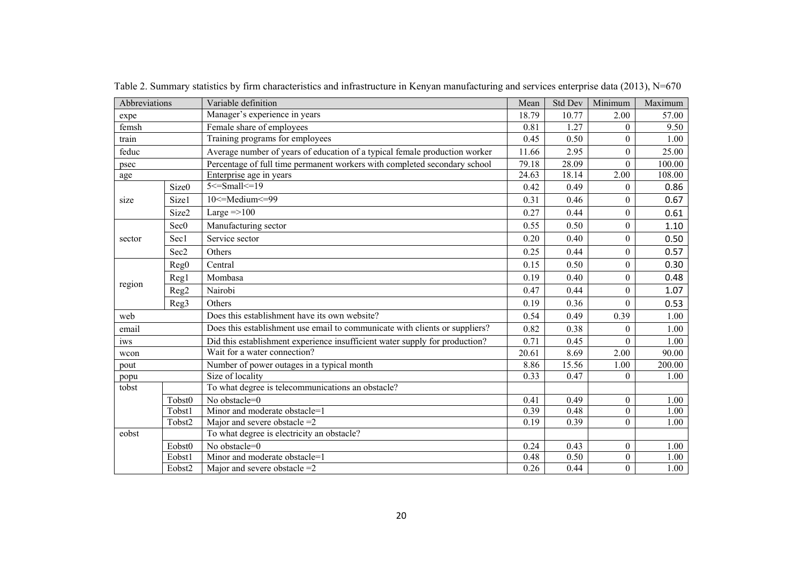| Abbreviations |                  | Variable definition                                                         | Mean  | <b>Std Dev</b> | Minimum          | Maximum |
|---------------|------------------|-----------------------------------------------------------------------------|-------|----------------|------------------|---------|
| expe          |                  | Manager's experience in years                                               | 18.79 | 10.77          | 2.00             | 57.00   |
| femsh         |                  | Female share of employees                                                   | 0.81  | 1.27           | $\theta$         | 9.50    |
| train         |                  | Training programs for employees                                             | 0.45  | 0.50           | $\theta$         | 1.00    |
| feduc         |                  | Average number of years of education of a typical female production worker  | 11.66 | 2.95           | $\theta$         | 25.00   |
| psec          |                  | Percentage of full time permanent workers with completed secondary school   | 79.18 | 28.09          | $\Omega$         | 100.00  |
| age           |                  | Enterprise age in years                                                     | 24.63 | 18.14          | 2.00             | 108.00  |
|               | Size0            | $5 \leq$ Small $\leq$ =19                                                   | 0.42  | 0.49           | $\theta$         | 0.86    |
| size          | Size1            | 10 <= Medium <= 99                                                          | 0.31  | 0.46           | $\theta$         | 0.67    |
|               | Size2            | Large $=\geq 100$                                                           | 0.27  | 0.44           | $\theta$         | 0.61    |
|               | Sec <sub>0</sub> | Manufacturing sector                                                        | 0.55  | 0.50           | $\theta$         | 1.10    |
| sector        | Sec1             | Service sector                                                              | 0.20  | 0.40           | $\theta$         | 0.50    |
|               | Sec2             | Others                                                                      | 0.25  | 0.44           | $\theta$         | 0.57    |
|               | Reg0             | Central                                                                     | 0.15  | 0.50           | $\theta$         | 0.30    |
| region        | Reg1             | Mombasa                                                                     | 0.19  | 0.40           | $\boldsymbol{0}$ | 0.48    |
|               | Reg2             | Nairobi                                                                     | 0.47  | 0.44           | $\boldsymbol{0}$ | 1.07    |
|               | Reg <sub>3</sub> | Others                                                                      | 0.19  | 0.36           | $\theta$         | 0.53    |
| web           |                  | Does this establishment have its own website?                               | 0.54  | 0.49           | 0.39             | 1.00    |
| email         |                  | Does this establishment use email to communicate with clients or suppliers? | 0.82  | 0.38           | $\theta$         | 1.00    |
| iws           |                  | Did this establishment experience insufficient water supply for production? | 0.71  | 0.45           | $\Omega$         | 1.00    |
| wcon          |                  | Wait for a water connection?                                                | 20.61 | 8.69           | 2.00             | 90.00   |
| pout          |                  | Number of power outages in a typical month                                  | 8.86  | 15.56          | 1.00             | 200.00  |
| popu          |                  | Size of locality                                                            | 0.33  | 0.47           | $\theta$         | 1.00    |
| tobst         |                  | To what degree is telecommunications an obstacle?                           |       |                |                  |         |
|               | Tobst0           | No obstacle=0                                                               | 0.41  | 0.49           | $\theta$         | 1.00    |
|               | Tobst1           | Minor and moderate obstacle=1                                               | 0.39  | 0.48           | $\mathbf{0}$     | 1.00    |
|               | Tobst2           | Major and severe obstacle $=2$                                              | 0.19  | 0.39           | $\theta$         | 1.00    |
| eobst         |                  | To what degree is electricity an obstacle?                                  |       |                |                  |         |
|               | Eobst0           | No obstacle=0                                                               | 0.24  | 0.43           | $\boldsymbol{0}$ | 1.00    |
|               | Eobst1           | Minor and moderate obstacle=1                                               | 0.48  | 0.50           | $\mathbf{0}$     | 1.00    |
|               | Eobst2           | Major and severe obstacle $=2$                                              | 0.26  | 0.44           | $\theta$         | 1.00    |

Table 2. Summary statistics by firm characteristics and infrastructure in Kenyan manufacturing and services enterprise data (2013), N=670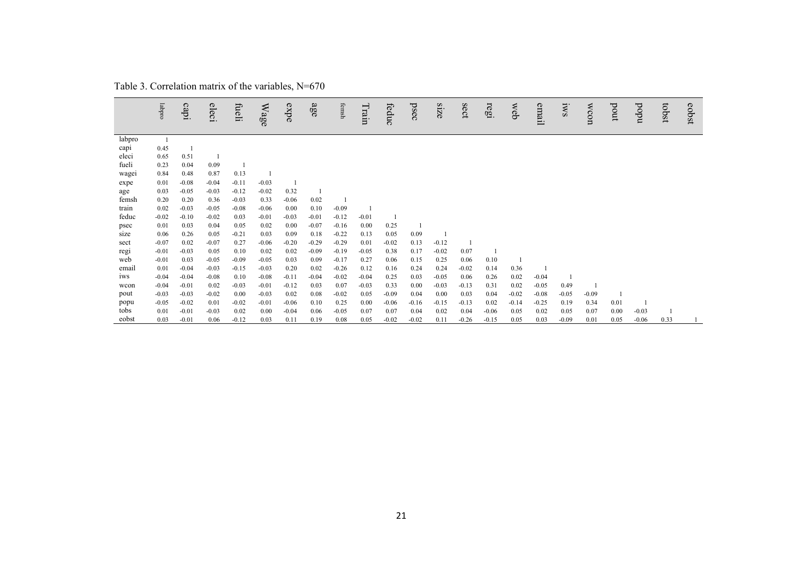|        | labpro  | capi    | eleci   | fueli   |         | expe    | age     | femsh   | Train   | feduc   | psec    | SIZe    | sect    | regi    | web     | email   | IWS     | wcon    | pout | ndod    | tobst | eobst |
|--------|---------|---------|---------|---------|---------|---------|---------|---------|---------|---------|---------|---------|---------|---------|---------|---------|---------|---------|------|---------|-------|-------|
|        |         |         |         |         | Wage    |         |         |         |         |         |         |         |         |         |         |         |         |         |      |         |       |       |
| labpro |         |         |         |         |         |         |         |         |         |         |         |         |         |         |         |         |         |         |      |         |       |       |
| capi   | 0.45    |         |         |         |         |         |         |         |         |         |         |         |         |         |         |         |         |         |      |         |       |       |
| eleci  | 0.65    | 0.51    |         |         |         |         |         |         |         |         |         |         |         |         |         |         |         |         |      |         |       |       |
| fueli  | 0.23    | 0.04    | 0.09    |         |         |         |         |         |         |         |         |         |         |         |         |         |         |         |      |         |       |       |
| wagei  | 0.84    | 0.48    | 0.87    | 0.13    |         |         |         |         |         |         |         |         |         |         |         |         |         |         |      |         |       |       |
| expe   | 0.01    | $-0.08$ | $-0.04$ | $-0.11$ | $-0.03$ |         |         |         |         |         |         |         |         |         |         |         |         |         |      |         |       |       |
| age    | 0.03    | $-0.05$ | $-0.03$ | $-0.12$ | $-0.02$ | 0.32    |         |         |         |         |         |         |         |         |         |         |         |         |      |         |       |       |
| femsh  | 0.20    | 0.20    | 0.36    | $-0.03$ | 0.33    | $-0.06$ | 0.02    |         |         |         |         |         |         |         |         |         |         |         |      |         |       |       |
| train  | 0.02    | $-0.03$ | $-0.05$ | $-0.08$ | $-0.06$ | 0.00    | 0.10    | $-0.09$ |         |         |         |         |         |         |         |         |         |         |      |         |       |       |
| feduc  | $-0.02$ | $-0.10$ | $-0.02$ | 0.03    | $-0.01$ | $-0.03$ | $-0.01$ | $-0.12$ | $-0.01$ |         |         |         |         |         |         |         |         |         |      |         |       |       |
| psec   | 0.01    | 0.03    | 0.04    | 0.05    | 0.02    | 0.00    | $-0.07$ | $-0.16$ | 0.00    | 0.25    |         |         |         |         |         |         |         |         |      |         |       |       |
| size   | 0.06    | 0.26    | 0.05    | $-0.21$ | 0.03    | 0.09    | 0.18    | $-0.22$ | 0.13    | 0.05    | 0.09    |         |         |         |         |         |         |         |      |         |       |       |
| sect   | $-0.07$ | 0.02    | $-0.07$ | 0.27    | $-0.06$ | $-0.20$ | $-0.29$ | $-0.29$ | 0.01    | $-0.02$ | 0.13    | $-0.12$ |         |         |         |         |         |         |      |         |       |       |
| regi   | $-0.01$ | $-0.03$ | 0.05    | 0.10    | 0.02    | 0.02    | $-0.09$ | $-0.19$ | $-0.05$ | 0.38    | 0.17    | $-0.02$ | 0.07    |         |         |         |         |         |      |         |       |       |
| web    | $-0.01$ | 0.03    | $-0.05$ | $-0.09$ | $-0.05$ | 0.03    | 0.09    | $-0.17$ | 0.27    | 0.06    | 0.15    | 0.25    | 0.06    | 0.10    |         |         |         |         |      |         |       |       |
| email  | 0.01    | $-0.04$ | $-0.03$ | $-0.15$ | $-0.03$ | 0.20    | 0.02    | $-0.26$ | 0.12    | 0.16    | 0.24    | 0.24    | $-0.02$ | 0.14    | 0.36    |         |         |         |      |         |       |       |
| 1WS    | $-0.04$ | $-0.04$ | $-0.08$ | 0.10    | $-0.08$ | $-0.11$ | $-0.04$ | $-0.02$ | $-0.04$ | 0.25    | 0.03    | $-0.05$ | 0.06    | 0.26    | 0.02    | $-0.04$ |         |         |      |         |       |       |
| wcon   | $-0.04$ | $-0.01$ | 0.02    | $-0.03$ | $-0.01$ | $-0.12$ | 0.03    | 0.07    | $-0.03$ | 0.33    | 0.00    | $-0.03$ | $-0.13$ | 0.31    | 0.02    | $-0.05$ | 0.49    |         |      |         |       |       |
| pout   | $-0.03$ | $-0.03$ | $-0.02$ | 0.00    | $-0.03$ | 0.02    | 0.08    | $-0.02$ | 0.05    | $-0.09$ | 0.04    | 0.00    | 0.03    | 0.04    | $-0.02$ | $-0.08$ | $-0.05$ | $-0.09$ |      |         |       |       |
| popu   | $-0.05$ | $-0.02$ | 0.01    | $-0.02$ | $-0.01$ | $-0.06$ | 0.10    | 0.25    | 0.00    | $-0.06$ | $-0.16$ | $-0.15$ | $-0.13$ | 0.02    | $-0.14$ | $-0.25$ | 0.19    | 0.34    | 0.01 |         |       |       |
| tobs   | 0.01    | $-0.01$ | $-0.03$ | 0.02    | 0.00    | $-0.04$ | 0.06    | $-0.05$ | 0.07    | 0.07    | 0.04    | 0.02    | 0.04    | $-0.06$ | 0.05    | 0.02    | 0.05    | 0.07    | 0.00 | $-0.03$ |       |       |
| eobst  | 0.03    | $-0.01$ | 0.06    | $-0.12$ | 0.03    | 0.11    | 0.19    | 0.08    | 0.05    | $-0.02$ | $-0.02$ | 0.11    | $-0.26$ | $-0.15$ | 0.05    | 0.03    | $-0.09$ | 0.01    | 0.05 | $-0.06$ | 0.33  |       |

Table 3. Correlation matrix of the variables, N=670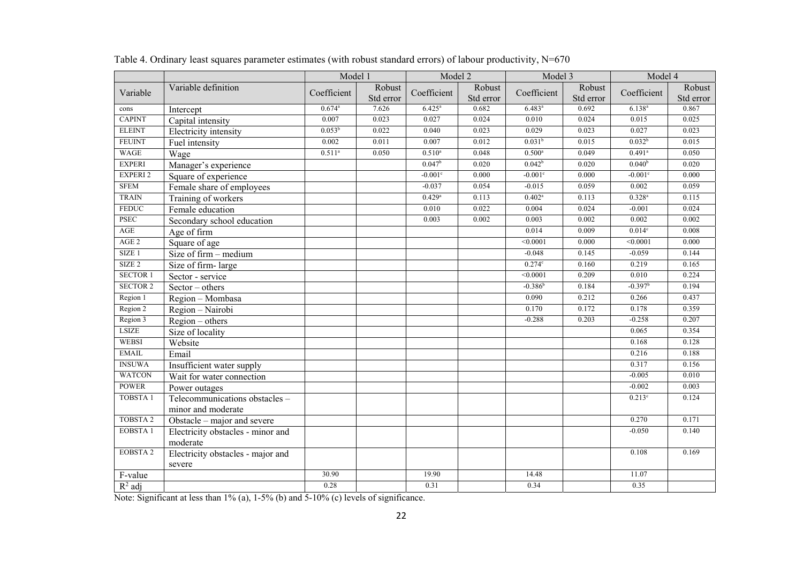|                      |                                                      | Model 1              |                     | Model 2              |                     | Model 3              |                     | Model 4              |                     |  |
|----------------------|------------------------------------------------------|----------------------|---------------------|----------------------|---------------------|----------------------|---------------------|----------------------|---------------------|--|
| Variable             | Variable definition                                  | Coefficient          | Robust<br>Std error | Coefficient          | Robust<br>Std error | Coefficient          | Robust<br>Std error | Coefficient          | Robust<br>Std error |  |
| cons                 | Intercept                                            | $0.674$ <sup>a</sup> | 7.626               | $6.425^{\rm a}$      | 0.682               | $6.483$ <sup>a</sup> | 0.692               | $6.138^{a}$          | 0.867               |  |
| <b>CAPINT</b>        | Capital intensity                                    | 0.007                | 0.023               | 0.027                | 0.024               | 0.010                | 0.024               | 0.015                | 0.025               |  |
| <b>ELEINT</b>        | Electricity intensity                                | 0.053 <sup>b</sup>   | 0.022               | 0.040                | 0.023               | 0.029                | 0.023               | 0.027                | 0.023               |  |
| <b>FEUINT</b>        | Fuel intensity                                       | 0.002                | 0.011               | 0.007                | 0.012               | 0.031 <sup>b</sup>   | 0.015               | 0.032 <sup>b</sup>   | 0.015               |  |
| <b>WAGE</b>          | Wage                                                 | $0.511^{a}$          | 0.050               | $0.510^{a}$          | 0.048               | 0.500 <sup>a</sup>   | 0.049               | $0.491$ <sup>a</sup> | 0.050               |  |
| <b>EXPERI</b>        | Manager's experience                                 |                      |                     | 0.047 <sup>b</sup>   | 0.020               | $0.042^{b}$          | 0.020               | 0.040 <sup>b</sup>   | 0.020               |  |
| <b>EXPERI2</b>       | Square of experience                                 |                      |                     | $-0.001c$            | 0.000               | $-0.001c$            | 0.000               | $-0.001c$            | 0.000               |  |
| <b>SFEM</b>          | Female share of employees                            |                      |                     | $-0.037$             | 0.054               | $-0.015$             | 0.059               | 0.002                | 0.059               |  |
| <b>TRAIN</b>         | Training of workers                                  |                      |                     | $0.429$ <sup>a</sup> | 0.113               | $0.402^a$            | 0.113               | $0.328^{a}$          | 0.115               |  |
| <b>FEDUC</b>         | Female education                                     |                      |                     | 0.010                | 0.022               | 0.004                | 0.024               | $-0.001$             | 0.024               |  |
| <b>PSEC</b>          | Secondary school education                           |                      |                     | 0.003                | 0.002               | 0.003                | 0.002               | 0.002                | 0.002               |  |
| AGE                  | Age of firm                                          |                      |                     |                      |                     | 0.014                | 0.009               | 0.014 <sup>c</sup>   | 0.008               |  |
| AGE <sub>2</sub>     | Square of age                                        |                      |                     |                      |                     | < 0.0001             | 0.000               | < 0.0001             | 0.000               |  |
| SIZE <sub>1</sub>    | Size of firm - medium                                |                      |                     |                      |                     | $-0.048$             | 0.145               | $-0.059$             | 0.144               |  |
| SIZE <sub>2</sub>    | Size of firm-large                                   |                      |                     |                      |                     | 0.274c               | 0.160               | 0.219                | 0.165               |  |
| <b>SECTOR 1</b>      | Sector - service                                     |                      |                     |                      |                     | $\sqrt{0.0001}$      | 0.209               | 0.010                | 0.224               |  |
| <b>SECTOR 2</b>      | Sector - others                                      |                      |                     |                      |                     | $-0.386^{b}$         | 0.184               | $-0.397b$            | 0.194               |  |
| Region 1             | Region - Mombasa                                     |                      |                     |                      |                     | 0.090                | 0.212               | 0.266                | 0.437               |  |
| Region 2             | Region - Nairobi                                     |                      |                     |                      |                     | 0.170                | 0.172               | 0.178                | 0.359               |  |
| Region 3             | $Region - others$                                    |                      |                     |                      |                     | $-0.288$             | 0.203               | $-0.258$             | 0.207               |  |
| <b>LSIZE</b>         | Size of locality                                     |                      |                     |                      |                     |                      |                     | 0.065                | 0.354               |  |
| <b>WEBSI</b>         | Website                                              |                      |                     |                      |                     |                      |                     | 0.168                | 0.128               |  |
| <b>EMAIL</b>         | Email                                                |                      |                     |                      |                     |                      |                     | 0.216                | 0.188               |  |
| <b>INSUWA</b>        | Insufficient water supply                            |                      |                     |                      |                     |                      |                     | 0.317                | 0.156               |  |
| <b>WATCON</b>        | Wait for water connection                            |                      |                     |                      |                     |                      |                     | $-0.005$             | 0.010               |  |
| <b>POWER</b>         | Power outages                                        |                      |                     |                      |                     |                      |                     | $-0.002$             | 0.003               |  |
| <b>TOBSTA1</b>       | Telecommunications obstacles -<br>minor and moderate |                      |                     |                      |                     |                      |                     | 0.213c               | 0.124               |  |
| <b>TOBSTA 2</b>      | Obstacle – major and severe                          |                      |                     |                      |                     |                      |                     | 0.270                | 0.171               |  |
| EOBSTA 1             | Electricity obstacles - minor and                    |                      |                     |                      |                     |                      |                     | $-0.050$             | 0.140               |  |
|                      | moderate                                             |                      |                     |                      |                     |                      |                     |                      |                     |  |
| <b>EOBSTA2</b>       | Electricity obstacles - major and                    |                      |                     |                      |                     |                      |                     | 0.108                | 0.169               |  |
|                      | severe                                               | 30.90                |                     | 19.90                |                     | 14.48                |                     | 11.07                |                     |  |
| F-value<br>$R^2$ adj |                                                      | 0.28                 |                     | 0.31                 |                     | 0.34                 |                     | 0.35                 |                     |  |
|                      |                                                      |                      |                     |                      |                     |                      |                     |                      |                     |  |

Table 4. Ordinary least squares parameter estimates (with robust standard errors) of labour productivity, N=670

Note: Significant at less than 1% (a), 1-5% (b) and 5-10% (c) levels of significance.